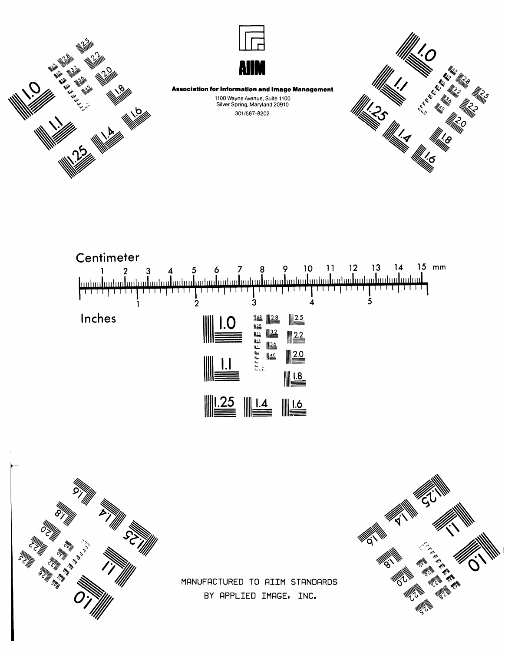





**Association for Information and Image Management** 

1100 Wayne Avenue, Suite 1100 Silver Spring, Maryland 20910 301/587-8202









MANUFACTURED TO AIIM STANDARDS BY APPLIED IMAGE, INC.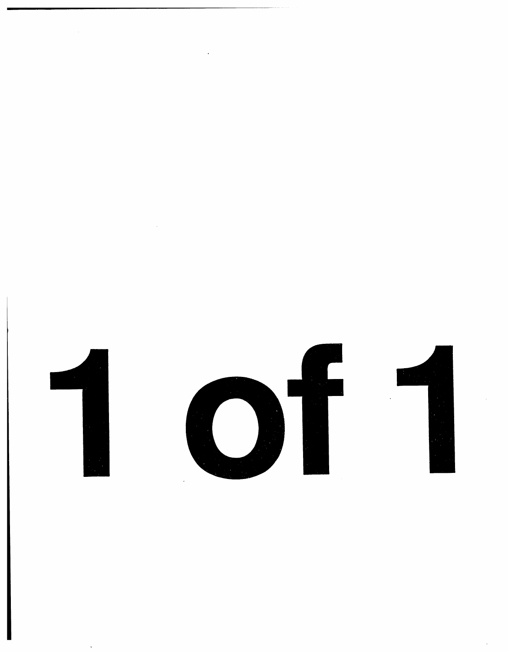

1 of 1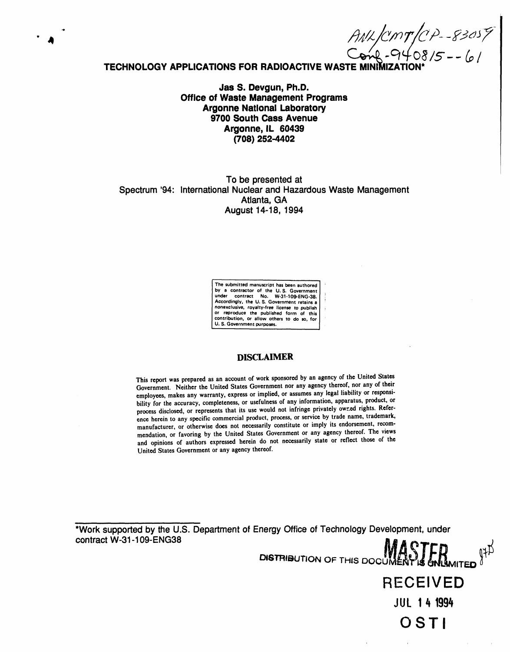$AWKMT(CP-83057)$ 

# **TECHNOLOGY APPLICATIONS FOR RADIOACTIVE WASTE MINIMI**

4

**Jas S. Devgun, Ph.D. Office of Waste Management Programs Argonne National Laboratory 9700 South Ca**s**s Avenue Argonne, IL 6043**9 **(708) 252**-**4402**

# T**o be** pr**es**en**tedat Spectrum '94: International Nuclear and Hazardous Waste Management Atlanta,GA August14-18, 1994**

The solution of the U.S. Government<br>by a contractor of the U.S. Government<br>under contract No. W-31-109-ENG-38.<br>Accordingly, the U.S. Government retains a<br>nonexclusive, royalty-free license to publish **or reproduce the published form of this| contribution, or allow others to do** s**o**, **for/**

**U. S. Government** pu**rpo**s**es. J**

# DISCLAIMER

This report was prepared as an account of work sponsored by an agency of the United States Government. Neither the United States Government nor any agency thereof, nor any of their employees, makes any warranty, express or implied, or assumes any legal liability or responsi-<br>bility for the accuracy, completeness, or usefulness of any information, apparatus, product, or bility for the accuracy, completeness, or usefulness of any micrometric pured rights. Before process disclosed, or represents that its use would not immige process that agents the come trademark ence herein to any specific commercial product, process, or service by trade name, trademark, manufacturer, or otherwise does not necessarily constitute or imply its endorsement, recommendation, or favoring by the United States Government or any agency thereof. The views and opinions of authors expressed herein do not necessarily state or reflect those of the **Unit**ed **States Gov**e**rnm**e**ntor any ag**e**ncy th**e**r**e**of.**

\*Work supported by the U.S. Department of Energy Office of Technology Development, under **contractW**-**31**-**109**-**ENG38**

DISTRIBUTION OF THIS DOCUMENT IS UNLIMITED RECE**I**VE**D** JUL **1**4 **199**4 **OSTI**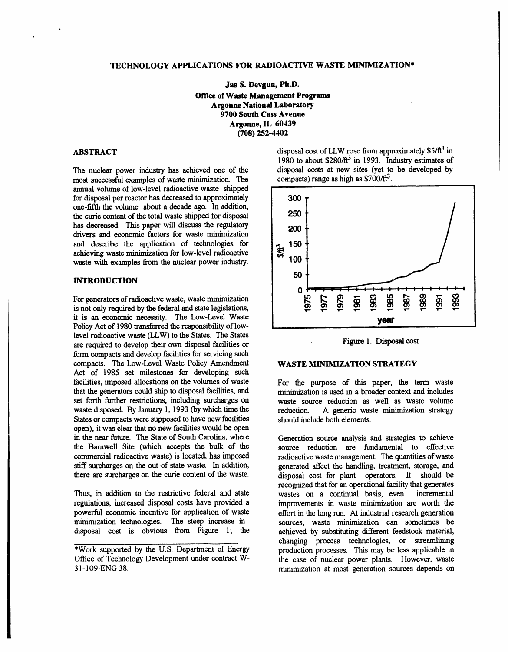# TECHNOLOGY APPLICATIONS FOR RADIOACTIVE WASTE MINIMIZATION\*

Jas S. Devgun, Ph.D. **Office of Waste Management Programs Argonne National Laboratory** 9700 South Cass Avenue Argonne, IL 60439  $(708)$  252-4402

# **ABSTRACT**

The nuclear power industry has achieved one of the most successful examples of waste minimization. The annual volume of low-level radioactive waste shipped for disposal per reactor has decreased to approximately one-fifth the volume about a decade ago. In addition, the curie content of the total waste shipped for disposal has decreased. This paper will discuss the regulatory drivers and economic factors for waste minimization and describe the application of technologies for achieving waste minimization for low-level radioactive waste with examples from the nuclear power industry.

# **INTRODUCTION**

For generators of radioactive waste, waste minimization is not only required by the federal and state legislations, it is an economic necessity. The Low-Level Waste Policy Act of 1980 transferred the responsibility of lowlevel radioactive waste (LLW) to the States. The States are required to develop their own disposal facilities or form compacts and develop facilities for servicing such compacts. The Low-Level Waste Policy Amendment Act of 1985 set milestones for developing such facilities, imposed allocations on the volumes of waste that the generators could ship to disposal facilities, and set forth further restrictions, including surcharges on waste disposed. By January 1, 1993 (by which time the States or compacts were supposed to have new facilities open), it was clear that no new facilities would be open in the near future. The State of South Carolina, where the Barnwell Site (which accepts the bulk of the commercial radioactive waste) is located, has imposed stiff surcharges on the out-of-state waste. In addition, there are surcharges on the curie content of the waste.

Thus, in addition to the restrictive federal and state regulations, increased disposal costs have provided a powerful economic incentive for application of waste minimization technologies. The steep increase in disposal cost is obvious from Figure 1; the disposal cost of LLW rose from approximately  $$5/\text{ft}^3$  in 1980 to about  $$280/\text{ft}^3$  in 1993. Industry estimates of disposal costs at new sites (yet to be developed by compacts) range as high as  $$700/\text{ft}^3$ .





# **WASTE MINIMIZATION STRATEGY**

For the purpose of this paper, the term waste minimization is used in a broader context and includes waste source reduction as well as waste volume A generic waste minimization strategy reduction. should include both elements.

Generation source analysis and strategies to achieve source reduction are fundamental to effective radioactive waste management. The quantities of waste generated affect the handling, treatment, storage, and disposal cost for plant operators. It should be recognized that for an operational facility that generates wastes on a continual basis, even incremental improvements in waste minimization are worth the effort in the long run. At industrial research generation sources, waste minimization can sometimes be achieved by substituting different feedstock material, changing process technologies, or streamlining production processes. This may be less applicable in the case of nuclear power plants. However, waste minimization at most generation sources depends on

<sup>\*</sup>Work supported by the U.S. Department of Energy Office of Technology Development under contract W-31-109-ENG 38.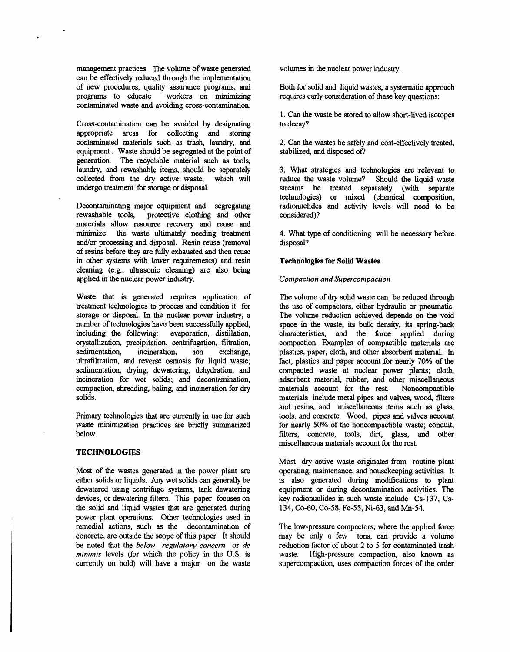management practices. The volume of waste generated volumes in the nuclear power industry. can be effectively reduced through the implementation of new procedures, quality assurance programs, and Both for solid and liquid wastes, a systematic approach programs to educate workers on minimizing requires early consideration of these key questions: contaminated waste and avoiding cross-contamination.

w

Cross-contamination can be avoided by designating appropriate areas for collecting and storing contaminated materials such as trash, laundry, and 2. Can the wastes be safely and cost-effectively treated, equipment. Waste should be segregated at the point of stabilized, and disposed of? equipment. Waste should be segregated at the point of generation. The recyclable material such as tools, laundry, and rewashable items, should be separately 3. What strategies and technologies are relevant to collected from the dry active waste, which will reduce the waste volume? Should the liquid waste collected from the dry active waste, which will reduce the waste volume? Should the liquid waste undergo treatment for storage or disposal.

Decontaminating major equipment and segregating radionuclides rewashable tools, protective clothing and other considered)? rewashable tools, protective clothing and other materials allow resource recovery and reuse and minimize the waste ultimately needing treatment and/or processing and disposal. Resin reuse (removal of resins before they ar**e** fully exhausted and then reuse in **oth**er sy**st**ems wi**th** l**o**we**r** requi**re**men**t**s) an**d** re**s**in **Technologies for Solid Wa***s***te**s **c**leanin**g** (e.g.*,* ultrasoni**c c**leaning) are also being applied in th**e** nuclear power industry. *Compaction and Superco*m*pa*c*tion*

Waste that is generated requires application of *The volume of dry solid waste can be reduced through* treatment technologies to process and condition it for the use of compactors, either hydraulic or pneumatic. treatment technologies to process and condition it for the use of compactors, either hydraulic or pneumatic.<br>storage or disposal. In the nuclear power industry, a The volume reduction achieved depends on the void storage or disposal. In the nuclear power industry, a number of technologies have been successfully applied, number of technologies have been successfully applied, space in the waste, its bulk density, its spring-back including the following: evaporation, distillation, characteristics, and the force applied during **c**rystallization, precipitation, centrifugation, filtration, sedimentation. incineration. ion exchange. sedimentation, incineration, ion exchange, plastics, paper, cloth, and other absorbent material. In ultrafiltration, and reverse osmosis for liquid waste: fact. plastics and paper account for nearly 70% of the ultrafiltration, and reverse osmosis for liquid waste; fact, plastics and paper account for nearly 70% of the sedimentation, drying, dewatering, dehydration, and compacted waste at nuclear power plants; cloth, incineration for wet solids; and decontamination, adsorbent material, rubber, and other miscellaneous compaction, shredding, baling, and incineration for dry materials account for the rest. Noncompactible compaction, shredding, baling, and incineration for dry solids.

waste minimization practices are briefly summarized below.

# **TECHNOLOGIES**

Most of the wastes generated in the power plant are operating, maintenance, and housekeeping activities. It either solids or liquids. Any wet solids can generally be is also generated during modifications to plant either solids or liquids. Any wet solids can generally be is also generated during modifications to plant dewatered using centrifuge systems, tank dewatering equipment or during decontamination activities. The dewatered using centrifuge systems, tank dewatering equipment or during decontamination activities. The devices, or dewatering filters. This paper focuses on key radionuclides in such waste include Cs-137, Csdevices, or dewatering filters. This paper focuses on key radionuclides in such waste include Cs-137, Co-58, Fe-55, Ni-63, and Mn-54. the solid and liquid wastes that are generated during power plant operations. Other technologies used in remedial actions, such as the decontamination of remedial actions, such as the decontamination of The low-pressure compactors, where the applied force concrete, are outside the scope of this paper. It should may be only a few tons, can provide a volume be noted that the *below regulatory concern* or *de* reduction factor of about 2 to 5 for contaminated trash minimis levels (for which the policy in the U.S. is waste. High-pressure compaction, also known as minimis levels (for which the policy in the U.S. is waste. High-pressure compaction, also known as currently on hold) will have a major on the waste supercompaction, uses compaction forces of the order currently on hold) will have a major on the waste

requires early consideration of these key questions:

1. Can the waste be stored to allow short-lived isotopes to decay?

streams be treated separately (with separately technologies) or mixed (chemical composition,

4. What type of conditioning will be necessary before disposal?

characteristics, and the force applied during compaction. Examples of compactible materials are compacted waste at nuclear power plants; cloth, adsorbent material, rubber, and other miscellaneous materials include metal pipes and valves, wood, filters and resins, and miscellaneous items such as glass, tools, and concrete. Wood, pipes and valves account Primary technologies that are currently in use for such tools, and concrete. Wood, pipes and valves account waste minimization practices are briefly summarized for nearly 50% of the noncompactible waste; conduit, filters, concrete, tools, dirt, glass, and other miscellaneous materials account for the rest.

M**o**s**t dry a**ctive **w**as**t**e **o**ri**ginat**es **f**r**o**m **ro**u**t**ine p**lant**

may be only a few tons, can provide a volume reduction factor of about 2 to 5 for contaminated trash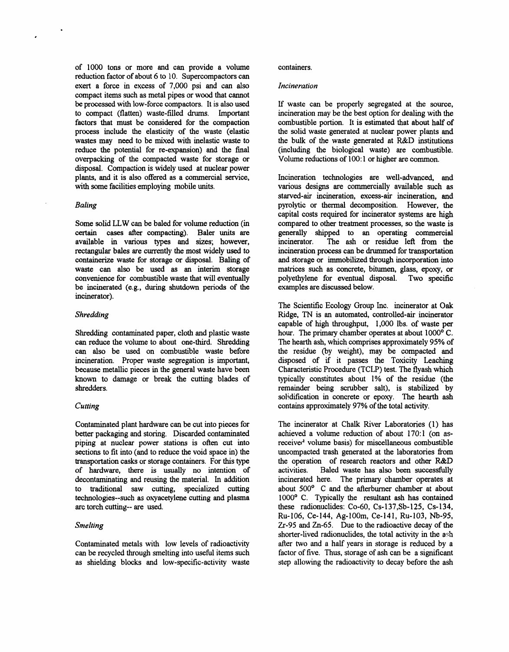of 1000 tons or more and can provide a volume containers. reduction factor of about 6 to 10. Supercompactors can exert a force in excess of 7,000 psi and can also *Incineration* compact items such as metal pipes or wood that cannot be processed with low-force compactors. It is also used If waste can be properly segregated at the source, to compact (flatten) waste-filled drums. Important incineration may be the best option for dealing with the to compact (flatten) waste-filled drums. Important incineration may be the best option for dealing with the factors that must be considered for the compaction combustible portion. It is estimated that about half of factors that must be considered for the compaction<br>process include the elasticity of the waste (elastic wastes may need to be mixed with inelastic waste to the bulk of the waste generated at R&D institutions reduce the potential for re-expansion) and the final (including the biological waste) are combustible. reduce the potential for re-expansion) and the final overpacking of the compacted waste for storage or disposal. Compaction is widely used at nu**c**lear power plants, and it is also offered as a commercial service, Incineration technologies are well-advanced, and with some facilities employing mobile units.

**available in various types and sizes; however, incinerator. The ash or residue left from the rectangular bales are currently the most widely used to incineration process can be drummed for transportation rectangular bales** are currently the most widely used to incineration process can be drummed for transportation containerize waste for storage or disposal. Baling of and storage or immobilized through incorporation into containerize waste for storage or disposal. Baling of and storage or immobilized through incorporation into waste can also be used as an interim storage matrices such as concrete, bitumen, glass, epoxy, or waste can also be used as an interim storage matrices such as concrete, bitumen, glass, epoxy, or convenience for combustible waste that will eventually polyethylene for eventual disposal. Two specific convenience for combustible waste that will eventually polyethylene for eventual di<br>be incinerated (e.g., during shutdown periods of the examples are discussed below. be incinerated (e.g., during shutdown periods of the inciner**a**tor).

Shredding contaminated paper, cloth and plastic waste can reduce the volume to about one-third. Shredding can also be used on combustible waste before the residue (by weight), may be compacted and incineration. Proper waste segregation is important, disposed of if it passes the Toxicity Leaching incineration. Proper waste segregation is important, disposed of if it passes the Toxicity Leaching because metallic pieces in the general waste have been Characteristic Procedure (TCLP) test. The flyash which because metallic pieces in the general waste have been Characteristic Procedure (TCLP) test. The flyash which known to damage or break the cutting blades of typically constitutes about 1% of the residue (the known to damage or break the cutting blades of shredders.

Contaminated plant hardware can be cut into pieces for **The incinerator at Chalk River Laboratories** (1) has better packaging and storing. Discarded contaminated a volume reduction of about 170:1 (on asbetter packaging and storing. Discarded contaminated achieved a volume reduction of about 170:1 (on as-<br>piping at nuclear power stations is often cut into received volume basis) for miscellaneous combustible piping at nuclear power stations is often cut into received volume basis) for miscellaneous combustible sections to fit into (and to reduce the void space in) the uncompacted trash generated at the laboratories from sections to fit into (and to reduce the void space in) the uncompacted trash generated at the laboratories from<br>transportation casks or storage containers. For this type the operation of research reactors and other R&D transportati**o**n cask**s o**r stor**a**ge containers. F**o**r this type the oper**atio**n of research rea**c**tors and **o**ther R&*D* of hardware, there is usually no intention of activities. Baled waste has also been successfully decontaminating and reusing the material. In addition incinerated here. The primary chamber operates at decontaminating and reusing the material. In addition incinerated here. The primary chamber operates at to traditional saw cutting, specialized cutting about 500<sup>°</sup> C and the afterburner chamber at about to traditional saw cutting, specialized cutting about 500<sup>°</sup> C and the afterburner chamber at about technologies--such as oxyacetylene cutting and plasma 1000<sup>°</sup> C. Typically the resultant ash has contained technologies--such as oxyacetylene cutting and plasma arc torch cutting-- are used.

Contaminated metals with low levels of radioactivity after two and a half years in storage is reduced by a can be recycled through smelting into useful items such factor of five. Thus, storage of ash can be a significant can be recycled through smelting into useful items such factor of five. Thus, storage of ash can be a significant as shielding blocks and low-specific-activity waste step allowing the radioactivity to decay before the ash as shielding blocks and low-specific-activity waste

the solid waste generated at nuclear power plants and the bulk of the waste generated at R&D institutions Volume reductions of 100:1 or higher are common.

various designs are commercially available such as *s*tarved-**a**ir in**c**iner**a**tion, excess-**a**ir inciner**ati**on, and *Baling* pyrolytic or thermal decomposition. However, the capital costs required for incinerator systems are high Some solid LLW can be baled for volume reduction (in compared to other treatment processes, so the waste is certain cases after compacting). Baler units are generally shipped to an operating commercial certain **c**ase**s** after com**pac**ting). Baler units are generall**y s**hippe**d to** an oper**at**ing **c**ommercial

The Scientific Ecology Group Inc. incinerator at Oak **Shredding** Ridge, TN is an automated, controlled-air incinerator cap**a**ble of high throughput, 1,000 lbs. of w**a**ste per The hearth ash, which comprises approximately 95% of the residue (by weight), may be compacted and remainder being scrubber salt), is stabilized by solidification in concrete or epoxy. The hearth ash *Cutting* contains approximately 97% of the total activity.

these radionuclides:  $Co-60$ ,  $Cs-137$ , $Sb-125$ ,  $Cs-134$ , Ru-106, Ce-144, Ag-10Om, Ce-141, Ru-103*,* Nb-95, *Smelting* Zr-95 and Zn-65. Due to the radioactive decay of the shorter-lived radionuclides, the total activity in the a<sup>sh</sup> after two and a half years in storage is reduced by a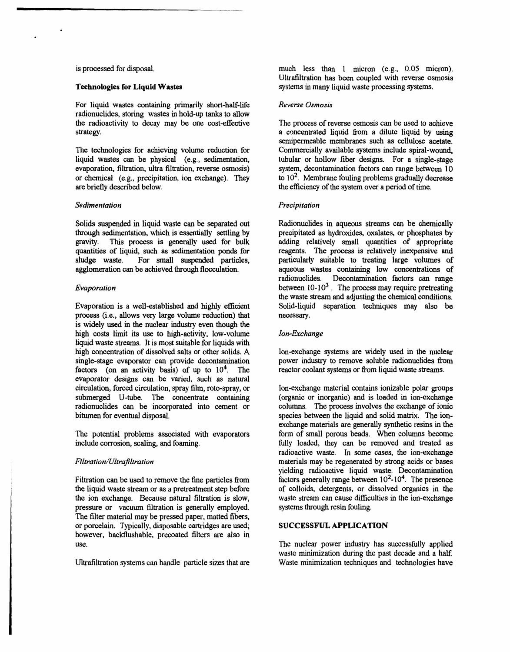For liquid wastes containing primarily short-half-life *Reverse Osmosis* radionuclides, storing wastes in hold-up tanks to allow the radioactivity to decay may be one cost-effective The process of reverse osmosis can be used to achieve strategy.<br>
a concentrated liquid from a dilute liquid by using

The technologies for achieving volume reduction for liquid wastes can be physical (e.g., sedimentation, evaporation, filtration, ultra filtration, reverse osmosis) system, decontamination factors can range between 10 or chemical (e.g., precipitation, ion exchange). They to  $10^2$ . Membrane fouling problems gradually decreas or chemical (e.g., precipitation, ion exchange). They are briefly described below.

# *Sedimentation P***r***ecipitation*

Solids suspended in liquid waste can be separated out Radionuclides in aqueous streams can be chemically through sedimentation, which is essentially settling by precipitated as hydroxides, oxalates, or phosphates by through sedimentation, which is essentially settling by precipitated as hydroxides, oxalates, or phosphates by gravity. This process is generally used for bulk adding relatively small quantities of appropriate gravity. This process is generally used for bulk adding relatively small quantities of appropriate quantities of liquid, such as sedimentation ponds for reagents. The process is relatively inexpensive and quantities of liquid, such as sedimentation ponds for reagents. The process is relatively inexpensive and sludge waste. For small suspended particles, particularly suitable to treating large volumes of sludge waste. For small suspended particles, agglomeration can be achieved through flocculation.

Evaporation is a well-established and highly efficient Solid-liquid separation is a well-established and highly efficient separation separation is also because may also be expansion that process (i.e., allows very large volume reduction) that is widely used in the nu**c**lear industry even *th*ough the high co**s**ts limi**t** its use t**o** high**-**activity, l**o**w**-**v**ol**ume *Ion***-***Exchange* liquid waste streams. It is most suitable for liquids with high concentration of dissolved salts or other solids. A Ion-exchange systems are widely used in the nuclear single-stage evaporator can provide decontamination power industry to remove soluble radionuclides from single-stage evaporator can provide decontamination power industry to remove soluble radionuclides from factors (on an activity basis) of up to  $10<sup>4</sup>$ . The reactor coolant systems or from liquid waste streams. factors (on an activity basis) of up to 10<sup>4</sup>. The evaporator designs can be varied, such as natural circulation, forced circulation, spray fil**m**, roto-spray, or Ion-exchange material contains ionizable polar groups submerged U-tube. The concentrate containing (organic or inorganic) and is loaded in ion-exchange<br>radionuclides can be incorporated into cement or columns. The process involves the exchange of ionic radionuclides can be incorporated into cement or bitumen for eventual disposal.

The potential problems associated with evaporators include corrosion, scaling, and foaming.

Filtration can be used to remove the fine particles from factors generally range between  $10^{2}-10^{4}$ . The presence the liquid waste stream or as a pretreatment step before of colloids, detergents, or dissolved organics i the liquid waste stream or as a pretreatment step before of colloids, detergents, or dissolved organics in the<br>the ion exchange. Because natural filtration is slow, waste stream can cause difficulties in the ion-exchange the ion exchange. Because natural filtration is slow, waste stream can cause difficulties pressure or vacuum filtration is generally employed. systems through resin fouling. pressure or vacuum filtration is generally employed. The filter material may be pressed paper, matted fibers, or porcelain. Typically, disposable cartridges are used; S**U**C**C**ESS*F***U**L *AP***P**LI**CA**TION however, baekflushable, precoated filters are also in

Ultrafiltration systems can handle particle sizes that are

is processed for disposal. The much less than 1 micron (e.g., 0.05 micron). Ultra**f**iltration has been coupled with reverse osmosis **Technologies for Liquid Wastes** systems in many liquid waste processing systems.

a concentrated liquid from a dilute liquid by using s**e**mip**e**rme**a**ble **m**embranes su**c**h **a**s **c**ellulose **ac**et**a**t**e**. tubular or hollow fiber designs. For a single-stage system, decontamination factors can range between 10 the efficiency of the system over a period of time.

aqueous wastes containing low concentrations of radionuelides. Decontamination factors can range *Evaporation* between 10-103 . The process m**a**y require pretreating the waste stream and adjusting the chemical conditions.<br>Solid-liquid separation techniques may also be

species between the liquid and solid matrix. The ionexchange materials are generally synthetic resins in the form of small porous beads. When columns become fully loaded, they can be removed and treated as radioactive waste. In some cases, the ion-exchan**g**e *Filtration/Ultrafiltration* materials may be regenerated by strong acids or bases yielding radioactive liquid waste. Decontamination factors generally range between  $10^2$ -10<sup>4</sup>. The presence

The nuclear power industry has successfully applied waste minimization during the past decade and a half.<br>Waste minimization techniques and technologies have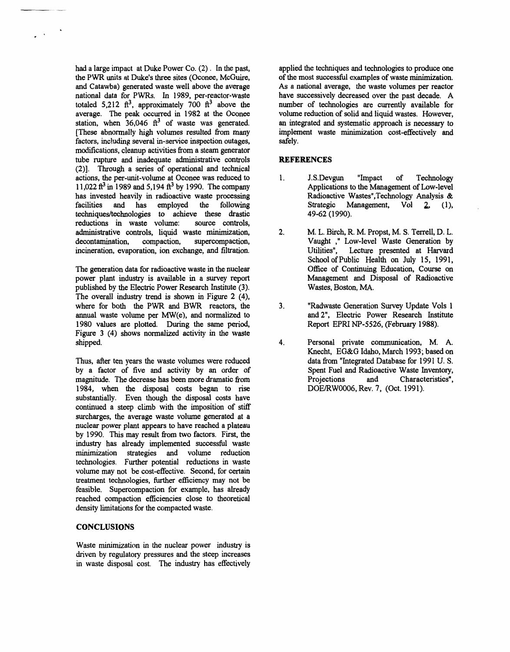had a large impact at Duke Power Co. (2). In the past, the PWR units at Duke's three sites (Oconee, McGuire, and Catawba) generated waste well above the average national data for PWRs. In 1989, per-reactor-waste totaled 5,212  $\text{ft}^3$ , approximately 700  $\text{ft}^3$  above the average. The peak occurred in 1982 at the Oconee station, when  $36,046$  ft<sup>3</sup> of waste was generated. [These abnormally high volumes resulted from many factors, including several in-service inspection outages, modifications, cleanup activities from a steam generator tube rupture and inadequate administrative controls (2)]. Through a series of operational and technical actions, the per-unit-volume at Oconee was reduced to 11,022 ft<sup>3</sup> in 1989 and 5,194 ft<sup>3</sup> by 1990. The company has invested heavily in radioactive waste processing employed facilities and has the following techniques/technologies to achieve these drastic reductions in waste volume: source controls, administrative controls, liquid waste minimization, decontamination. compaction, supercompaction, incineration, evaporation, ion exchange, and filtration.

The generation data for radioactive waste in the nuclear power plant industry is available in a survey report published by the Electric Power Research Institute (3). The overall industry trend is shown in Figure 2 (4), where for both the PWR and BWR reactors, the annual waste volume per MW(e), and normalized to 1980 values are plotted. During the same period, Figure 3 (4) shows normalized activity in the waste shipped.

Thus, after ten years the waste volumes were reduced by a factor of five and activity by an order of magnitude. The decrease has been more dramatic from 1984, when the disposal costs began to rise substantially. Even though the disposal costs have continued a steep climb with the imposition of stiff surcharges, the average waste volume generated at a nuclear power plant appears to have reached a plateau by 1990. This may result from two factors. First, the industry has already implemented successful waste minimization strategies and volume reduction technologies. Further potential reductions in waste volume may not be cost-effective. Second, for certain treatment technologies, further efficiency may not be feasible. Supercompaction for example, has already reached compaction efficiencies close to theoretical density limitations for the compacted waste.

# **CONCLUSIONS**

Waste minimization in the nuclear power industry is driven by regulatory pressures and the steep increases in waste disposal cost. The industry has effectively applied the techniques and technologies to produce one of the most successful examples of waste minimization. As a national average, the waste volumes per reactor have successively decreased over the past decade. A number of technologies are currently available for volume reduction of solid and liquid wastes. However, an integrated and systematic approach is necessary to implement waste minimization cost-effectively and safely.

# **REFERENCES**

- $\mathbf{1}$ . "Impact J.S.Devgun of Technology Applications to the Management of Low-level Radioactive Wastes", Technology Analysis & Management, Strategic Vol  $2<sub>1</sub>$  $(1),$ 49-62 (1990).
- $2.$ M. L. Birch, R. M. Propst, M. S. Terrell, D. L. Vaught ," Low-level Waste Generation by Utilities". Lecture presented at Harvard School of Public Health on July 15, 1991, Office of Continuing Education, Course on Management and Disposal of Radioactive Wastes, Boston, MA.
- $3<sub>1</sub>$ "Radwaste Generation Survey Update Vols 1 and 2", Electric Power Research Institute Report EPRI NP-5526, (February 1988).
- $\overline{\mathbf{4}}$ . Personal private communication, M. A. Knecht, EG&G Idaho, March 1993; based on data from "Integrated Database for 1991 U.S. Spent Fuel and Radioactive Waste Inventory, Projections Characteristics", and DOE/RW0006, Rev. 7, (Oct. 1991).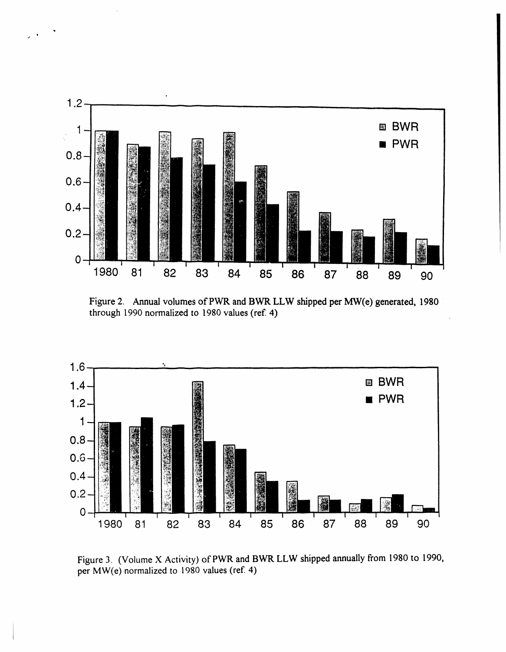

F**i**gure 2. Annual vo**l**um**e**s of PWR an**d** BWR LLW shippe**d** per MW(**e**) gen**e**r**ate**d, 198**0** through **1**990 normalized to 1980 values (re**f**. 4)



Figure 3. (Volume X Activity) o**f** PWR and BWR LLW shipped annually **f**rom 1980 to 1990, per M**W**(e) normalized to 1980 valu**e**s (ref. 4)